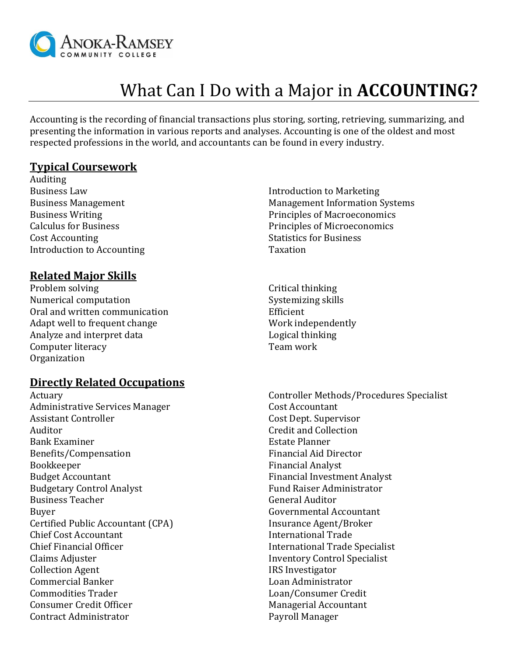

# What Can I Do with a Major in **ACCOUNTING?**

Accounting is the recording of financial transactions plus storing, sorting, retrieving, summarizing, and presenting the information in various reports and analyses. Accounting is one of the oldest and most respected professions in the world, and accountants can be found in every industry.

#### **Typical Coursework**

Auditing Business Law Business Management Business Writing Calculus for Business Cost Accounting Introduction to Accounting

#### **Related Major Skills**

Problem solving Numerical computation Oral and written communication Adapt well to frequent change Analyze and interpret data Computer literacy Organization

#### **Directly Related Occupations**

Actuary Administrative Services Manager Assistant Controller Auditor Bank Examiner Benefits/Compensation Bookkeeper Budget Accountant Budgetary Control Analyst Business Teacher Buyer Certified Public Accountant (CPA) Chief Cost Accountant Chief Financial Officer Claims Adjuster Collection Agent Commercial Banker Commodities Trader Consumer Credit Officer Contract Administrator

- Introduction to Marketing Management Information Systems Principles of Macroeconomics Principles of Microeconomics Statistics for Business Taxation
- Critical thinking Systemizing skills Efficient Work independently Logical thinking Team work

Controller Methods/Procedures Specialist Cost Accountant Cost Dept. Supervisor Credit and Collection Estate Planner Financial Aid Director Financial Analyst Financial Investment Analyst Fund Raiser Administrator General Auditor Governmental Accountant Insurance Agent/Broker International Trade International Trade Specialist Inventory Control Specialist IRS Investigator Loan Administrator Loan/Consumer Credit Managerial Accountant Payroll Manager